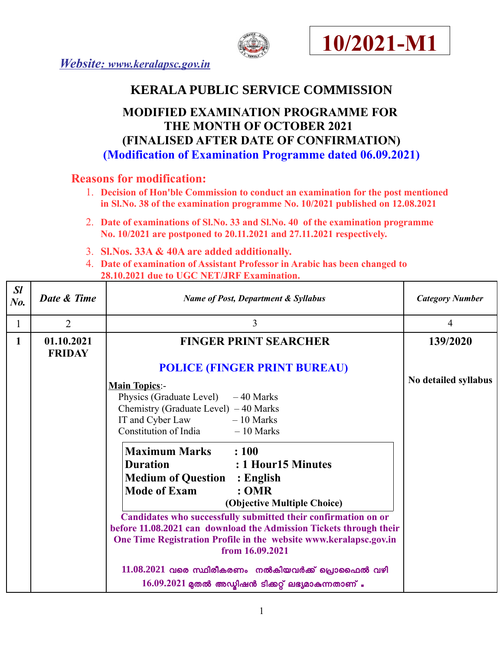





# **KERALA PUBLIC SERVICE COMMISSION**

# **MODIFIED EXAMINATION PROGRAMME FOR THE MONTH OF OCTOBER 2021 (FINALISED AFTER DATE OF CONFIRMATION) (Modification of Examination Programme dated 06.09.2021)**

## **Reasons for modification:**

- 1. **Decision of Hon'ble Commission to conduct an examination for the post mentioned in Sl.No. 38 of the examination programme No. 10/2021 published on 12.08.2021**
- 2. **Date of examinations of Sl.No. 33 and Sl.No. 40 of the examination programme No. 10/2021 are postponed to 20.11.2021 and 27.11.2021 respectively.**
- 3. **Sl.Nos. 33A & 40A are added additionally.**
- 4. **Date of examination of Assistant Professor in Arabic has been changed to 28.10.2021 due to UGC NET/JRF Examination.**

| SI<br>$N0$ . | Date & Time                 | <b>Name of Post, Department &amp; Syllabus</b>                                       | <b>Category Number</b> |
|--------------|-----------------------------|--------------------------------------------------------------------------------------|------------------------|
|              | $\overline{2}$              | 3                                                                                    | 4                      |
| 1            | 01.10.2021<br><b>FRIDAY</b> | <b>FINGER PRINT SEARCHER</b>                                                         | 139/2020               |
|              |                             | <b>POLICE (FINGER PRINT BUREAU)</b>                                                  |                        |
|              |                             | <b>Main Topics:-</b>                                                                 | No detailed syllabus   |
|              |                             | Physics (Graduate Level) $-40$ Marks                                                 |                        |
|              |                             | Chemistry (Graduate Level) $-40$ Marks                                               |                        |
|              |                             | IT and Cyber Law $-10$ Marks                                                         |                        |
|              |                             | Constitution of India $-10$ Marks                                                    |                        |
|              |                             | <b>Maximum Marks</b> : 100                                                           |                        |
|              |                             | <b>Duration</b><br>: 1 Hour15 Minutes                                                |                        |
|              |                             | <b>Medium of Question : English</b>                                                  |                        |
|              |                             | <b>Mode of Exam</b><br>: <b>OMR</b>                                                  |                        |
|              |                             | (Objective Multiple Choice)                                                          |                        |
|              |                             | Candidates who successfully submitted their confirmation on or                       |                        |
|              |                             | before 11.08.2021 can download the Admission Tickets through their                   |                        |
|              |                             | One Time Registration Profile in the website www.keralapsc.gov.in<br>from 16.09.2021 |                        |
|              |                             | $11.08.2021$ വരെ സ്ഥിരീകരണം നൽകിയവർക്ക് പ്രൊഫൈൽ വഴി                                  |                        |
|              |                             | $16.09.2021$ മുതൽ അഡ്യിഷൻ ടിക്കറ്റ് ലഭ്യമാകുന്നതാണ് .                                |                        |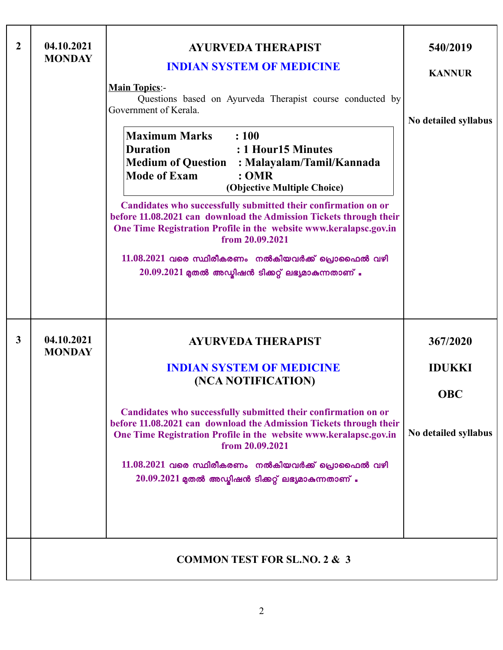| $\overline{2}$ | 04.10.2021<br><b>MONDAY</b> | <b>AYURVEDA THERAPIST</b><br><b>INDIAN SYSTEM OF MEDICINE</b><br><b>Main Topics:-</b><br>Questions based on Ayurveda Therapist course conducted by<br>Government of Kerala.<br><b>Maximum Marks</b><br>$\therefore 100$<br><b>Duration</b><br>: 1 Hour 15 Minutes<br><b>Medium of Question : Malayalam/Tamil/Kannada</b><br><b>Mode of Exam</b><br>: <b>OMR</b><br>(Objective Multiple Choice)<br>Candidates who successfully submitted their confirmation on or<br>before 11.08.2021 can download the Admission Tickets through their<br>One Time Registration Profile in the website www.keralapsc.gov.in<br>from 20.09.2021<br>$11.08.2021$ വരെ സ്ഥിരീകരണം നൽകിയവർക്ക് പ്രൊഫൈൽ വഴി<br>$20.09.2021$ മുതൽ അഡ്മിഷൻ ടിക്കറ്റ് ലഭ്യമാകുന്നതാണ് . | 540/2019<br><b>KANNUR</b><br>No detailed syllabus               |
|----------------|-----------------------------|------------------------------------------------------------------------------------------------------------------------------------------------------------------------------------------------------------------------------------------------------------------------------------------------------------------------------------------------------------------------------------------------------------------------------------------------------------------------------------------------------------------------------------------------------------------------------------------------------------------------------------------------------------------------------------------------------------------------------------------------|-----------------------------------------------------------------|
| $\mathbf{3}$   | 04.10.2021<br><b>MONDAY</b> | <b>AYURVEDA THERAPIST</b><br><b>INDIAN SYSTEM OF MEDICINE</b><br>(NCA NOTIFICATION)<br>Candidates who successfully submitted their confirmation on or<br>before 11.08.2021 can download the Admission Tickets through their<br>One Time Registration Profile in the website www.keralapsc.gov.in<br>from 20.09.2021<br>$11.08.2021$ വരെ സ്ഥിരീകരണം നൽകിയവർക്ക് പ്രൊഫൈൽ വഴി<br>$20.09.2021$ മുതൽ അഡ്മിഷൻ ടിക്കറ്റ് ലഭ്യമാകുന്നതാണ് .                                                                                                                                                                                                                                                                                                            | 367/2020<br><b>IDUKKI</b><br><b>OBC</b><br>No detailed syllabus |
|                |                             | <b>COMMON TEST FOR SL.NO. 2 &amp; 3</b>                                                                                                                                                                                                                                                                                                                                                                                                                                                                                                                                                                                                                                                                                                        |                                                                 |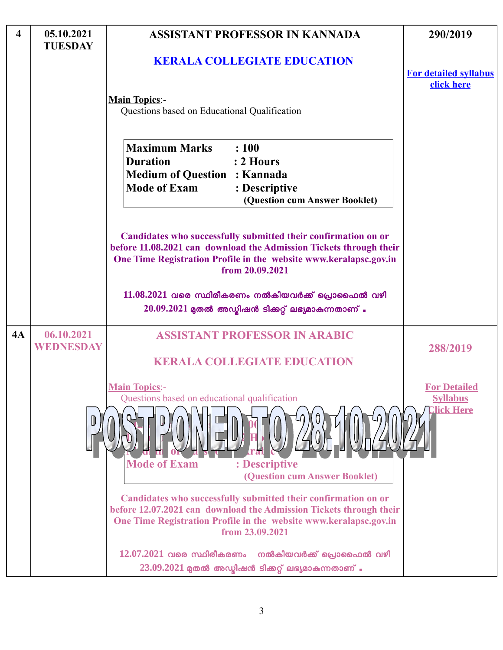| $\overline{\mathbf{4}}$ | 05.10.2021<br><b>TUESDAY</b> | <b>ASSISTANT PROFESSOR IN KANNADA</b>                                                                                                                                                                                        | 290/2019                                                    |
|-------------------------|------------------------------|------------------------------------------------------------------------------------------------------------------------------------------------------------------------------------------------------------------------------|-------------------------------------------------------------|
|                         |                              | <b>KERALA COLLEGIATE EDUCATION</b>                                                                                                                                                                                           | <b>For detailed syllabus</b><br>click here                  |
|                         |                              | <b>Main Topics:-</b><br>Questions based on Educational Qualification                                                                                                                                                         |                                                             |
|                         |                              | <b>Maximum Marks</b><br>: 100<br><b>Duration</b><br>$: 2$ Hours<br><b>Medium of Question : Kannada</b><br><b>Mode of Exam</b><br>: Descriptive<br>(Question cum Answer Booklet)                                              |                                                             |
|                         |                              | Candidates who successfully submitted their confirmation on or<br>before 11.08.2021 can download the Admission Tickets through their<br>One Time Registration Profile in the website www.keralapsc.gov.in<br>from 20.09.2021 |                                                             |
|                         |                              | $11.08.2021$ വരെ സ്ഥിരീകരണം നൽകിയവർക്ക് പ്രൊഫൈൽ വഴി<br>$20.09.2021$ മുതൽ അഡ്ബിഷൻ ടിക്കറ്റ് ലഭ്യമാകുന്നതാണ്                                                                                                                   |                                                             |
| 4A                      | 06.10.2021<br>WEDNESDAY      | <b>ASSISTANT PROFESSOR IN ARABIC</b><br><b>KERALA COLLEGIATE EDUCATION</b>                                                                                                                                                   | 288/2019                                                    |
|                         |                              | <b>Main Topics:-</b><br>Questions based on educational qualification<br><b>Mode of Exam</b><br>: Descriptive<br>(Question cum Answer Booklet)                                                                                | <b>For Detailed</b><br><b>Syllabus</b><br><u>Click Here</u> |
|                         |                              | Candidates who successfully submitted their confirmation on or<br>before 12.07.2021 can download the Admission Tickets through their<br>One Time Registration Profile in the website www.keralapsc.gov.in<br>from 23.09.2021 |                                                             |
|                         |                              | $12.07.2021$ വരെ സ്ഥിരീകരണം<br>നൽകിയവർക്ക് പ്രൊഫൈൽ വഴി<br>$23.09.2021$ മുതൽ അഡ്യിഷൻ ടിക്കറ്റ് ലഭ്യമാകുന്നതാണ് .                                                                                                              |                                                             |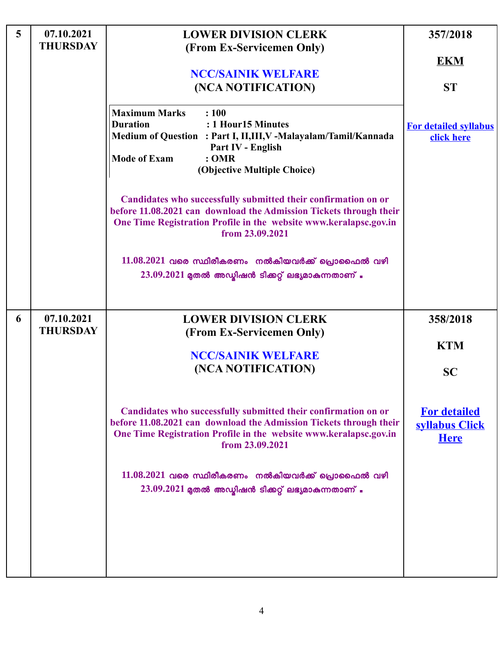| $\overline{5}$ | 07.10.2021<br><b>THURSDAY</b> | <b>LOWER DIVISION CLERK</b><br>(From Ex-Servicemen Only)                                                                                                                                                                                                                                                                                    | 357/2018                                                                                    |
|----------------|-------------------------------|---------------------------------------------------------------------------------------------------------------------------------------------------------------------------------------------------------------------------------------------------------------------------------------------------------------------------------------------|---------------------------------------------------------------------------------------------|
|                |                               |                                                                                                                                                                                                                                                                                                                                             | <b>EKM</b>                                                                                  |
|                |                               | <b>NCC/SAINIK WELFARE</b><br>(NCA NOTIFICATION)                                                                                                                                                                                                                                                                                             | <b>ST</b>                                                                                   |
|                |                               | <b>Maximum Marks</b><br>: 100<br>: 1 Hour15 Minutes<br><b>Duration</b><br>Medium of Question : Part I, II, III, V - Malayalam/Tamil/Kannada<br>Part IV - English<br><b>Mode of Exam</b><br>: <b>OMR</b><br>(Objective Multiple Choice)                                                                                                      | <b>For detailed syllabus</b><br>click here                                                  |
|                |                               | Candidates who successfully submitted their confirmation on or<br>before 11.08.2021 can download the Admission Tickets through their<br>One Time Registration Profile in the website www.keralapsc.gov.in<br>from 23.09.2021                                                                                                                |                                                                                             |
|                |                               | $11.08.2021$ വരെ സ്ഥിരീകരണം നൽകിയവർക്ക് പ്രൊഫൈൽ വഴി<br>$23.09.2021$ മുതൽ അഡ്മിഷൻ ടിക്കറ്റ് ലഭ്യമാകുന്നതാണ് .                                                                                                                                                                                                                                |                                                                                             |
| 6              | 07.10.2021<br><b>THURSDAY</b> | <b>LOWER DIVISION CLERK</b><br>(From Ex-Servicemen Only)<br><b>NCC/SAINIK WELFARE</b><br>(NCA NOTIFICATION)<br>Candidates who successfully submitted their confirmation on or<br>before 11.08.2021 can download the Admission Tickets through their<br>One Time Registration Profile in the website www.keralapsc.gov.in<br>from 23.09.2021 | 358/2018<br><b>KTM</b><br><b>SC</b><br><b>For detailed</b><br>syllabus Click<br><b>Here</b> |
|                |                               | $11.08.2021$ വരെ സ്ഥിരീകരണം നൽകിയവർക്ക് പ്രൊഫൈൽ വഴി<br>$23.09.2021$ മുതൽ അഡ്മിഷൻ ടിക്കറ്റ് ലഭ്യമാകുന്നതാണ് .                                                                                                                                                                                                                                |                                                                                             |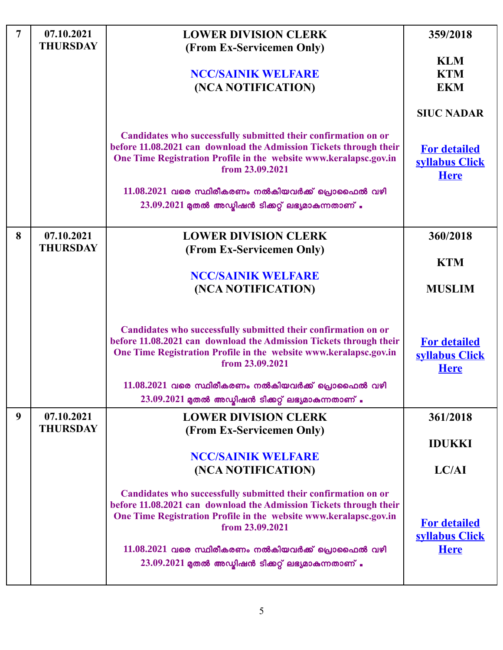| $\overline{7}$ | 07.10.2021<br><b>THURSDAY</b> | <b>LOWER DIVISION CLERK</b><br>(From Ex-Servicemen Only)<br><b>NCC/SAINIK WELFARE</b><br>(NCA NOTIFICATION)                                                                                                                                                                                                                                  | 359/2018<br><b>KLM</b><br><b>KTM</b><br><b>EKM</b><br><b>SIUC NADAR</b> |
|----------------|-------------------------------|----------------------------------------------------------------------------------------------------------------------------------------------------------------------------------------------------------------------------------------------------------------------------------------------------------------------------------------------|-------------------------------------------------------------------------|
|                |                               | Candidates who successfully submitted their confirmation on or<br>before 11.08.2021 can download the Admission Tickets through their<br>One Time Registration Profile in the website www.keralapsc.gov.in<br>from 23.09.2021<br>$11.08.2021$ വരെ സ്ഥിരീകരണം നൽകിയവർക്ക് പ്രൊഫൈൽ വഴി<br>$23.09.2021$ മുതൽ അഡ്മിഷൻ ടിക്കറ്റ് ലഭ്യമാകുന്നതാണ് . | <b>For detailed</b><br>syllabus Click<br><b>Here</b>                    |
| 8              | 07.10.2021<br><b>THURSDAY</b> | <b>LOWER DIVISION CLERK</b><br>(From Ex-Servicemen Only)<br><b>NCC/SAINIK WELFARE</b><br>(NCA NOTIFICATION)                                                                                                                                                                                                                                  | 360/2018<br><b>KTM</b><br><b>MUSLIM</b>                                 |
|                |                               | Candidates who successfully submitted their confirmation on or<br>before 11.08.2021 can download the Admission Tickets through their<br>One Time Registration Profile in the website www.keralapsc.gov.in<br>from 23.09.2021<br>$11.08.2021$ വരെ സ്ഥിരീകരണം നൽകിയവർക്ക് പ്രൊഫൈൽ വഴി<br>$23.09.2021$ മുതൽ അഡ്മിഷൻ ടിക്കറ്റ് ലഭ്യമാകുന്നതാണ് . | <b>For detailed</b><br>syllabus Click<br><b>Here</b>                    |
| 9              | 07.10.2021<br><b>THURSDAY</b> | <b>LOWER DIVISION CLERK</b><br>(From Ex-Servicemen Only)<br><b>NCC/SAINIK WELFARE</b><br>(NCA NOTIFICATION)                                                                                                                                                                                                                                  | 361/2018<br><b>IDUKKI</b><br>LC/AI                                      |
|                |                               | Candidates who successfully submitted their confirmation on or<br>before 11.08.2021 can download the Admission Tickets through their<br>One Time Registration Profile in the website www.keralapsc.gov.in<br>from 23.09.2021<br>$11.08.2021$ വരെ സ്ഥിരീകരണം നൽകിയവർക്ക് പ്രൊഫൈൽ വഴി<br>$23.09.2021$ മുതൽ അഡ്യിഷൻ ടിക്കറ്റ് ലഭ്യമാകുന്നതാണ് . | <b>For detailed</b><br>syllabus Click<br><b>Here</b>                    |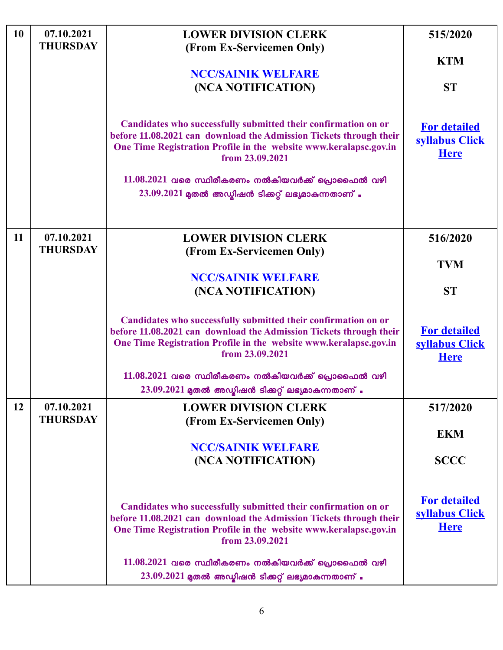| <b>10</b> | 07.10.2021<br><b>THURSDAY</b> | <b>LOWER DIVISION CLERK</b><br>(From Ex-Servicemen Only)                                                                                                                                                                     | 515/2020                                             |
|-----------|-------------------------------|------------------------------------------------------------------------------------------------------------------------------------------------------------------------------------------------------------------------------|------------------------------------------------------|
|           |                               | <b>NCC/SAINIK WELFARE</b><br>(NCA NOTIFICATION)                                                                                                                                                                              | <b>KTM</b><br><b>ST</b>                              |
|           |                               | Candidates who successfully submitted their confirmation on or<br>before 11.08.2021 can download the Admission Tickets through their<br>One Time Registration Profile in the website www.keralapsc.gov.in<br>from 23.09.2021 | <b>For detailed</b><br>syllabus Click<br><b>Here</b> |
|           |                               | $11.08.2021$ വരെ സ്ഥിരീകരണം നൽകിയവർക്ക് പ്രൊഫൈൽ വഴി<br>$23.09.2021$ മുതൽ അഡ്മിഷൻ ടിക്കറ്റ് ലഭ്യമാകുന്നതാണ്.                                                                                                                  |                                                      |
| 11        | 07.10.2021<br><b>THURSDAY</b> | <b>LOWER DIVISION CLERK</b><br>(From Ex-Servicemen Only)                                                                                                                                                                     | 516/2020<br><b>TVM</b>                               |
|           |                               | <b>NCC/SAINIK WELFARE</b><br>(NCA NOTIFICATION)                                                                                                                                                                              | <b>ST</b>                                            |
|           |                               | Candidates who successfully submitted their confirmation on or<br>before 11.08.2021 can download the Admission Tickets through their<br>One Time Registration Profile in the website www.keralapsc.gov.in<br>from 23.09.2021 | <b>For detailed</b><br>syllabus Click<br><b>Here</b> |
|           |                               | $11.08.2021$ വരെ സ്ഥിരീകരണം നൽകിയവർക്ക് പ്രൊഫൈൽ വഴി<br>$23.09.2021$ മുതൽ അഡ്മിഷൻ ടിക്കറ്റ് ലഭ്യമാകുന്നതാണ് .                                                                                                                 |                                                      |
| 12        | 07.10.2021<br><b>THURSDAY</b> | <b>LOWER DIVISION CLERK</b><br>(From Ex-Servicemen Only)<br><b>NCC/SAINIK WELFARE</b>                                                                                                                                        | 517/2020<br><b>EKM</b>                               |
|           |                               | (NCA NOTIFICATION)                                                                                                                                                                                                           | <b>SCCC</b>                                          |
|           |                               | Candidates who successfully submitted their confirmation on or<br>before 11.08.2021 can download the Admission Tickets through their<br>One Time Registration Profile in the website www.keralapsc.gov.in<br>from 23.09.2021 | <b>For detailed</b><br>syllabus Click<br><b>Here</b> |
|           |                               | $11.08.2021$ വരെ സ്ഥിരീകരണം നൽകിയവർക്ക് പ്രൊഫൈൽ വഴി<br>$23.09.2021$ മുതൽ അഡ്യിഷൻ ടിക്കറ്റ് ലഭ്യമാകുന്നതാണ്.                                                                                                                  |                                                      |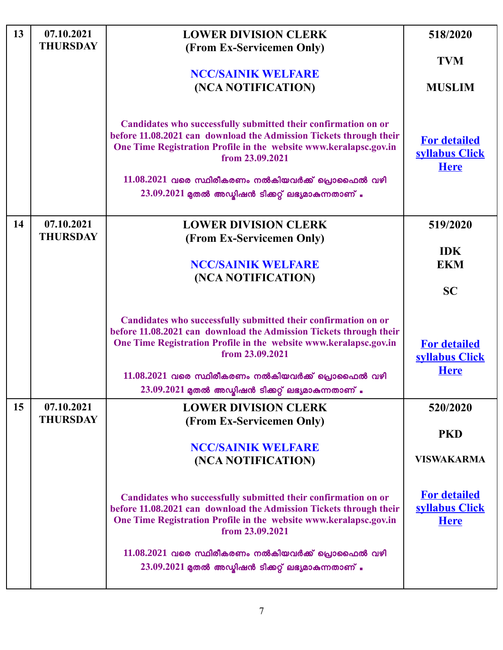| 13 | 07.10.2021<br><b>THURSDAY</b> | <b>LOWER DIVISION CLERK</b><br>(From Ex-Servicemen Only)<br><b>NCC/SAINIK WELFARE</b><br>(NCA NOTIFICATION)                                                                                                                                                                                                                                  | 518/2020<br><b>TVM</b><br><b>MUSLIM</b>              |
|----|-------------------------------|----------------------------------------------------------------------------------------------------------------------------------------------------------------------------------------------------------------------------------------------------------------------------------------------------------------------------------------------|------------------------------------------------------|
|    |                               | Candidates who successfully submitted their confirmation on or<br>before 11.08.2021 can download the Admission Tickets through their<br>One Time Registration Profile in the website www.keralapsc.gov.in<br>from 23.09.2021<br>$11.08.2021$ വരെ സ്ഥിരീകരണം നൽകിയവർക്ക് പ്രൊഫൈൽ വഴി<br>$23.09.2021$ മുതൽ അഡ്മിഷൻ ടിക്കറ്റ് ലഭ്യമാകുന്നതാണ് . | <b>For detailed</b><br>syllabus Click<br><b>Here</b> |
| 14 | 07.10.2021<br><b>THURSDAY</b> | <b>LOWER DIVISION CLERK</b><br>(From Ex-Servicemen Only)<br><b>NCC/SAINIK WELFARE</b><br>(NCA NOTIFICATION)                                                                                                                                                                                                                                  | 519/2020<br><b>IDK</b><br><b>EKM</b><br><b>SC</b>    |
|    |                               | Candidates who successfully submitted their confirmation on or<br>before 11.08.2021 can download the Admission Tickets through their<br>One Time Registration Profile in the website www.keralapsc.gov.in<br>from 23.09.2021<br>$11.08.2021$ വരെ സ്ഥിരീകരണം നൽകിയവർക്ക് പ്രൊഫൈൽ വഴി<br>$23.09.2021$ മുതൽ അഡ്മിഷൻ ടിക്കറ്റ് ലഭ്യമാകുന്നതാണ് . | <b>For detailed</b><br>syllabus Click<br><b>Here</b> |
| 15 | 07.10.2021<br><b>THURSDAY</b> | <b>LOWER DIVISION CLERK</b><br>(From Ex-Servicemen Only)<br><b>NCC/SAINIK WELFARE</b><br>(NCA NOTIFICATION)                                                                                                                                                                                                                                  | 520/2020<br><b>PKD</b><br><b>VISWAKARMA</b>          |
|    |                               | Candidates who successfully submitted their confirmation on or<br>before 11.08.2021 can download the Admission Tickets through their<br>One Time Registration Profile in the website www.keralapsc.gov.in<br>from 23.09.2021<br>$11.08.2021$ വരെ സ്ഥിരീകരണം നൽകിയവർക്ക് പ്രൊഫൈൽ വഴി<br>$23.09.2021$ മുതൽ അഡ്മിഷൻ ടിക്കറ്റ് ലഭ്യമാകുന്നതാണ്   | <b>For detailed</b><br>syllabus Click<br><b>Here</b> |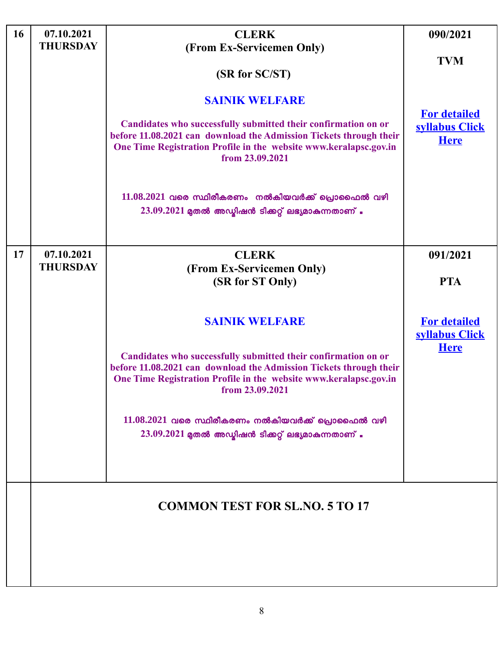| 16 | 07.10.2021<br><b>THURSDAY</b> | <b>CLERK</b>                                                                                                                                                                                                                                                                                                                                                                                                                          | 090/2021                                                                       |
|----|-------------------------------|---------------------------------------------------------------------------------------------------------------------------------------------------------------------------------------------------------------------------------------------------------------------------------------------------------------------------------------------------------------------------------------------------------------------------------------|--------------------------------------------------------------------------------|
|    |                               | (From Ex-Servicemen Only)<br>(SR for SC/ST)<br><b>SAINIK WELFARE</b><br>Candidates who successfully submitted their confirmation on or<br>before 11.08.2021 can download the Admission Tickets through their<br>One Time Registration Profile in the website www.keralapsc.gov.in<br>from 23.09.2021<br>$11.08.2021$ വരെ സ്ഥിരീകരണം നൽകിയവർക്ക് പ്രൊഫൈൽ വഴി<br>$23.09.2021$ മുതൽ അഡ്യിഷൻ ടിക്കറ്റ് ലഭ്യമാകുന്നതാണ്.                   | <b>TVM</b><br><b>For detailed</b><br>syllabus Click<br><b>Here</b>             |
| 17 | 07.10.2021<br><b>THURSDAY</b> | <b>CLERK</b><br>(From Ex-Servicemen Only)<br>(SR for ST Only)<br><b>SAINIK WELFARE</b><br>Candidates who successfully submitted their confirmation on or<br>before 11.08.2021 can download the Admission Tickets through their<br>One Time Registration Profile in the website www.keralapsc.gov.in<br>from 23.09.2021<br>$11.08.2021$ വരെ സ്ഥിരീകരണം നൽകിയവർക്ക് പ്രൊഫൈൽ വഴി<br>$23.09.2021$ മുതൽ അഡ്മിഷൻ ടിക്കറ്റ് ലഭ്യമാകുന്നതാണ്. | 091/2021<br><b>PTA</b><br><b>For detailed</b><br>syllabus Click<br><b>Here</b> |
|    |                               | <b>COMMON TEST FOR SL.NO. 5 TO 17</b>                                                                                                                                                                                                                                                                                                                                                                                                 |                                                                                |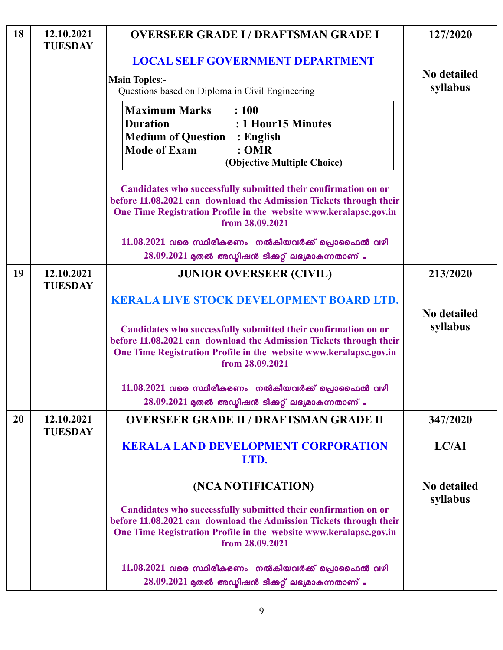| 18 | 12.10.2021<br><b>TUESDAY</b> | <b>OVERSEER GRADE I/DRAFTSMAN GRADE I</b>                                                                                                                                                                                    | 127/2020                       |
|----|------------------------------|------------------------------------------------------------------------------------------------------------------------------------------------------------------------------------------------------------------------------|--------------------------------|
|    |                              | <b>LOCAL SELF GOVERNMENT DEPARTMENT</b>                                                                                                                                                                                      |                                |
|    |                              | <b>Main Topics:-</b>                                                                                                                                                                                                         | <b>No detailed</b>             |
|    |                              | Questions based on Diploma in Civil Engineering                                                                                                                                                                              | syllabus                       |
|    |                              | <b>Maximum Marks</b><br>: 100<br><b>Duration</b><br>: 1 Hour15 Minutes<br><b>Medium of Question : English</b><br><b>Mode of Exam</b><br>: <b>OMR</b><br>(Objective Multiple Choice)                                          |                                |
|    |                              | Candidates who successfully submitted their confirmation on or<br>before 11.08.2021 can download the Admission Tickets through their<br>One Time Registration Profile in the website www.keralapsc.gov.in<br>from 28.09.2021 |                                |
|    |                              | $11.08.2021$ വരെ സ്ഥിരീകരണം നൽകിയവർക്ക് പ്രൊഫൈൽ വഴി<br>$28.09.2021$ മുതൽ അഡ്മിഷൻ ടിക്കറ്റ് ലഭ്യമാകുന്നതാണ് .                                                                                                                 |                                |
| 19 | 12.10.2021<br><b>TUESDAY</b> | <b>JUNIOR OVERSEER (CIVIL)</b>                                                                                                                                                                                               | 213/2020                       |
|    |                              | <b>KERALA LIVE STOCK DEVELOPMENT BOARD LTD.</b>                                                                                                                                                                              |                                |
|    |                              | Candidates who successfully submitted their confirmation on or<br>before 11.08.2021 can download the Admission Tickets through their<br>One Time Registration Profile in the website www.keralapsc.gov.in<br>from 28.09.2021 | <b>No detailed</b><br>syllabus |
|    |                              | $11.08.2021$ വരെ സ്ഥിരീകരണം നൽകിയവർക്ക് പ്രൊഫൈൽ വഴി<br>$28.09.2021$ മുതൽ അഡ്മിഷൻ ടിക്കറ്റ് ലഭ്യമാകുന്നതാണ് .                                                                                                                 |                                |
| 20 | 12.10.2021<br><b>TUESDAY</b> | <b>OVERSEER GRADE II / DRAFTSMAN GRADE II</b>                                                                                                                                                                                | 347/2020                       |
|    |                              | <b>KERALA LAND DEVELOPMENT CORPORATION</b><br>LTD.                                                                                                                                                                           | LC/AI                          |
|    |                              | (NCA NOTIFICATION)                                                                                                                                                                                                           | <b>No detailed</b>             |
|    |                              | Candidates who successfully submitted their confirmation on or<br>before 11.08.2021 can download the Admission Tickets through their<br>One Time Registration Profile in the website www.keralapsc.gov.in<br>from 28.09.2021 | syllabus                       |
|    |                              | $11.08.2021$ വരെ സ്ഥിരീകരണം നൽകിയവർക്ക് പ്രൊഫൈൽ വഴി<br>$28.09.2021$ മുതൽ അഡ്യിഷൻ ടിക്കറ്റ് ലഭ്യമാകുന്നതാണ്.                                                                                                                  |                                |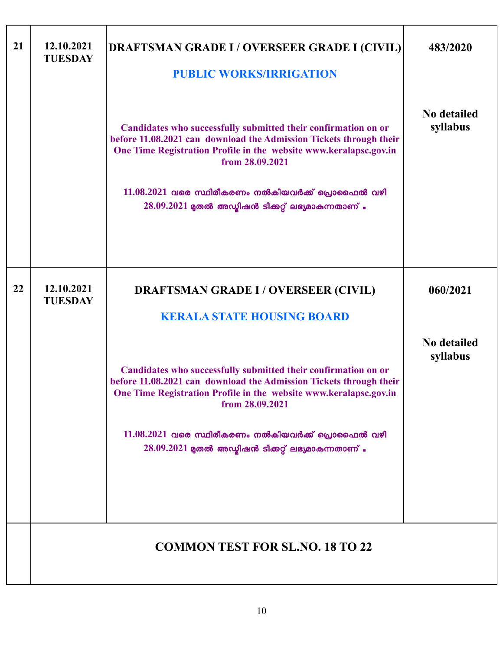| 21 | 12.10.2021<br><b>TUESDAY</b> | <b>DRAFTSMAN GRADE I / OVERSEER GRADE I (CIVIL)</b><br><b>PUBLIC WORKS/IRRIGATION</b>                                                                                                                                                                                                                                                       | 483/2020                       |
|----|------------------------------|---------------------------------------------------------------------------------------------------------------------------------------------------------------------------------------------------------------------------------------------------------------------------------------------------------------------------------------------|--------------------------------|
|    |                              | Candidates who successfully submitted their confirmation on or<br>before 11.08.2021 can download the Admission Tickets through their<br>One Time Registration Profile in the website www.keralapsc.gov.in<br>from 28.09.2021<br>$11.08.2021$ വരെ സ്ഥിരീകരണം നൽകിയവർക്ക് പ്രൊഫൈൽ വഴി<br>$28.09.2021$ മുതൽ അഡ്മിഷൻ ടിക്കറ്റ് ലഭ്യമാകുന്നതാണ്. | <b>No detailed</b><br>syllabus |
| 22 | 12.10.2021<br><b>TUESDAY</b> | <b>DRAFTSMAN GRADE I / OVERSEER (CIVIL)</b><br><b>KERALA STATE HOUSING BOARD</b>                                                                                                                                                                                                                                                            | 060/2021                       |
|    |                              | Candidates who successfully submitted their confirmation on or<br>before 11.08.2021 can download the Admission Tickets through their<br>One Time Registration Profile in the website www.keralapsc.gov.in<br>from 28.09.2021<br>$11.08.2021$ വരെ സ്ഥിരീകരണം നൽകിയവർക്ക് പ്രൊഫൈൽ വഴി<br>$28.09.2021$ മുതൽ അഡ്ബിഷൻ ടിക്കറ്റ് ലഭ്യമാകുന്നതാണ്. | <b>No detailed</b><br>syllabus |
|    |                              | <b>COMMON TEST FOR SL.NO. 18 TO 22</b>                                                                                                                                                                                                                                                                                                      |                                |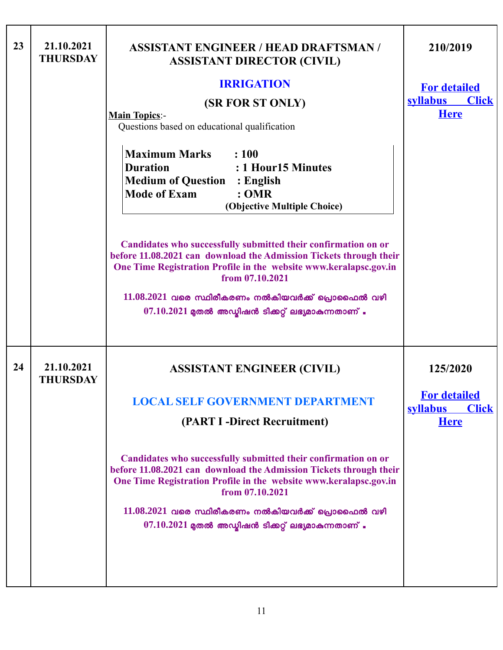| 23 | 21.10.2021<br><b>THURSDAY</b> | <b>ASSISTANT ENGINEER / HEAD DRAFTSMAN /</b><br><b>ASSISTANT DIRECTOR (CIVIL)</b><br><b>IRRIGATION</b><br>(SR FOR ST ONLY)<br><b>Main Topics:-</b><br>Questions based on educational qualification<br><b>Maximum Marks</b><br>: 100<br><b>Duration</b><br>: 1 Hour15 Minutes<br><b>Medium of Question : English</b><br><b>Mode of Exam</b><br>:OMR<br>(Objective Multiple Choice)<br>Candidates who successfully submitted their confirmation on or<br>before 11.08.2021 can download the Admission Tickets through their<br>One Time Registration Profile in the website www.keralapsc.gov.in<br>from 07.10.2021<br>$11.08.2021$ വരെ സ്ഥിരീകരണം നൽകിയവർക്ക് പ്രൊഫൈൽ വഴി<br>$07.10.2021$ മുതൽ അഡ്മിഷൻ ടിക്കറ്റ് ലഭ്യമാകുന്നതാണ് . | 210/2019<br><b>For detailed</b><br><b>syllabus</b><br><b>Click</b><br><b>Here</b> |
|----|-------------------------------|-----------------------------------------------------------------------------------------------------------------------------------------------------------------------------------------------------------------------------------------------------------------------------------------------------------------------------------------------------------------------------------------------------------------------------------------------------------------------------------------------------------------------------------------------------------------------------------------------------------------------------------------------------------------------------------------------------------------------------------|-----------------------------------------------------------------------------------|
| 24 | 21.10.2021<br><b>THURSDAY</b> | <b>ASSISTANT ENGINEER (CIVIL)</b><br><b>LOCAL SELF GOVERNMENT DEPARTMENT</b><br>(PART I -Direct Recruitment)                                                                                                                                                                                                                                                                                                                                                                                                                                                                                                                                                                                                                      | 125/2020<br><b>For detailed</b><br><b>Click</b><br><b>syllabus</b><br><b>Here</b> |
|    |                               | Candidates who successfully submitted their confirmation on or<br>before 11.08.2021 can download the Admission Tickets through their<br>One Time Registration Profile in the website www.keralapsc.gov.in<br>from 07.10.2021<br>$11.08.2021$ വരെ സ്ഥിരീകരണം നൽകിയവർക്ക് പ്രൊഫൈൽ വഴി<br>$07.10.2021$ മുതൽ അഡ്മിഷൻ ടിക്കറ്റ് ലഭ്യമാകുന്നതാണ് .                                                                                                                                                                                                                                                                                                                                                                                      |                                                                                   |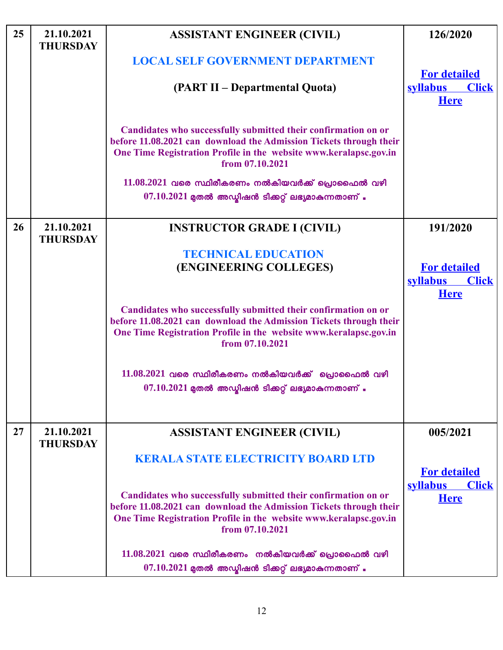| 25 | 21.10.2021<br><b>THURSDAY</b> | <b>ASSISTANT ENGINEER (CIVIL)</b>                                                                                                                                                                                            | 126/2020                                       |
|----|-------------------------------|------------------------------------------------------------------------------------------------------------------------------------------------------------------------------------------------------------------------------|------------------------------------------------|
|    |                               | <b>LOCAL SELF GOVERNMENT DEPARTMENT</b>                                                                                                                                                                                      | <b>For detailed</b>                            |
|    |                               | (PART II – Departmental Quota)                                                                                                                                                                                               | <b>syllabus</b><br><b>Click</b><br><b>Here</b> |
|    |                               | Candidates who successfully submitted their confirmation on or<br>before 11.08.2021 can download the Admission Tickets through their<br>One Time Registration Profile in the website www.keralapsc.gov.in<br>from 07.10.2021 |                                                |
|    |                               | $11.08.2021$ വരെ സ്ഥിരീകരണം നൽകിയവർക്ക് പ്രൊഫൈൽ വഴി<br>$07.10.2021$ മുതൽ അഡ്യിഷൻ ടിക്കറ്റ് ലഭ്യമാകുന്നതാണ് .                                                                                                                 |                                                |
| 26 | 21.10.2021<br><b>THURSDAY</b> | <b>INSTRUCTOR GRADE I (CIVIL)</b>                                                                                                                                                                                            | 191/2020                                       |
|    |                               | <b>TECHNICAL EDUCATION</b>                                                                                                                                                                                                   |                                                |
|    |                               | (ENGINEERING COLLEGES)                                                                                                                                                                                                       | <b>For detailed</b>                            |
|    |                               |                                                                                                                                                                                                                              | <b>syllabus</b><br><b>Click</b>                |
|    |                               |                                                                                                                                                                                                                              | <b>Here</b>                                    |
|    |                               | Candidates who successfully submitted their confirmation on or<br>before 11.08.2021 can download the Admission Tickets through their<br>One Time Registration Profile in the website www.keralapsc.gov.in<br>from 07.10.2021 |                                                |
|    |                               | $11.08.2021$ വരെ സ്ഥിരീകരണം നൽകിയവർക്ക് പ്രൊഫൈൽ വഴി                                                                                                                                                                          |                                                |
|    |                               | $07.10.2021$ മുതൽ അഡ്മിഷൻ ടിക്കറ്റ് ലഭ്യമാകുന്നതാണ് .                                                                                                                                                                        |                                                |
|    |                               |                                                                                                                                                                                                                              |                                                |
| 27 | 21.10.2021<br><b>THURSDAY</b> | <b>ASSISTANT ENGINEER (CIVIL)</b>                                                                                                                                                                                            | 005/2021                                       |
|    |                               | <b>KERALA STATE ELECTRICITY BOARD LTD</b>                                                                                                                                                                                    |                                                |
|    |                               |                                                                                                                                                                                                                              | <b>For detailed</b>                            |
|    |                               | Candidates who successfully submitted their confirmation on or<br>before 11.08.2021 can download the Admission Tickets through their<br>One Time Registration Profile in the website www.keralapsc.gov.in<br>from 07.10.2021 | <b>syllabus</b><br><b>Click</b><br><b>Here</b> |
|    |                               | $11.08.2021$ വരെ സ്ഥിരീകരണം നൽകിയവർക്ക് പ്രൊഫൈൽ വഴി                                                                                                                                                                          |                                                |
|    |                               | $07.10.2021$ മുതൽ അഡ്മിഷൻ ടിക്കറ്റ് ലഭ്യമാകുന്നതാണ്.                                                                                                                                                                         |                                                |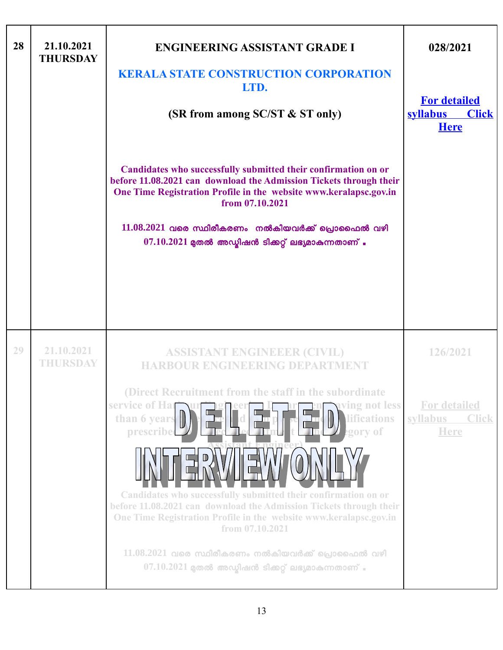| 28 | 21.10.2021<br><b>THURSDAY</b> | <b>ENGINEERING ASSISTANT GRADE I</b><br><b>KERALA STATE CONSTRUCTION CORPORATION</b><br>LTD.<br>(SR from among SC/ST & ST only)                                                                                                                                                                                                                                                            | 028/2021<br><b>For detailed</b><br><b>Click</b><br><b>syllabus</b><br><b>Here</b> |
|----|-------------------------------|--------------------------------------------------------------------------------------------------------------------------------------------------------------------------------------------------------------------------------------------------------------------------------------------------------------------------------------------------------------------------------------------|-----------------------------------------------------------------------------------|
|    |                               | Candidates who successfully submitted their confirmation on or<br>before 11.08.2021 can download the Admission Tickets through their<br>One Time Registration Profile in the website www.keralapsc.gov.in<br>from 07.10.2021                                                                                                                                                               |                                                                                   |
|    |                               | $11.08.2021$ വരെ സ്ഥിരീകരണം നൽകിയവർക്ക് പ്രൊഫൈൽ വഴി<br>$07.10.2021$ മുതൽ അഡ്ബിഷൻ ടിക്കറ്റ് ലഭ്യമാകുന്നതാണ്.                                                                                                                                                                                                                                                                                |                                                                                   |
|    |                               |                                                                                                                                                                                                                                                                                                                                                                                            |                                                                                   |
| 29 | 21.10.2021<br>THURSDAY        | <b>ASSISTANT ENGINEEER (CIVIL)</b><br><b>HARBOUR ENGINEERING DEPARTMENT</b>                                                                                                                                                                                                                                                                                                                | 126/2021                                                                          |
|    |                               | (Direct Recruitment from the staff in the subordinate)<br>service of Har<br>aving not less<br><b>lifications</b><br>than 6 years<br>prescribed<br>egory of<br>Candidates who successfully submitted their confirmation on or<br>before 11.08.2021 can download the Admission Tickets through their<br>One Time Registration Profile in the website www.keralapsc.gov.in<br>from 07.10.2021 | <b>For detailed</b><br>syllabus<br><b>Click</b><br><b>Here</b>                    |
|    |                               | $11.08.2021$ വരെ സ്ഥിരീകരണം നൽകിയവർക്ക് പ്രൊഫൈൽ വഴി<br>$07.10.2021$ മുതൽ അഡ്യിഷൻ ടിക്കറ്റ് ലഭ്യമാകുന്നതാണ് .                                                                                                                                                                                                                                                                               |                                                                                   |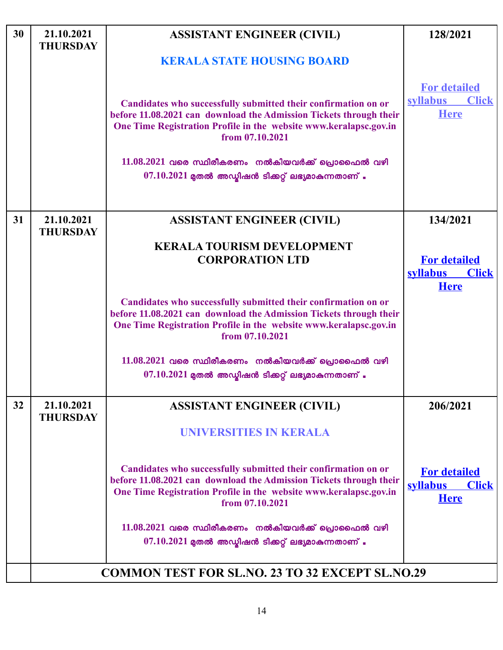| 30 | 21.10.2021<br><b>THURSDAY</b> | <b>ASSISTANT ENGINEER (CIVIL)</b>                                                                                                                                                                                                                                                   | 128/2021                                                              |
|----|-------------------------------|-------------------------------------------------------------------------------------------------------------------------------------------------------------------------------------------------------------------------------------------------------------------------------------|-----------------------------------------------------------------------|
|    |                               | <b>KERALA STATE HOUSING BOARD</b>                                                                                                                                                                                                                                                   |                                                                       |
|    |                               | Candidates who successfully submitted their confirmation on or<br>before 11.08.2021 can download the Admission Tickets through their<br>One Time Registration Profile in the website www.keralapsc.gov.in<br>from 07.10.2021<br>$11.08.2021$ വരെ സ്ഥിരീകരണം നൽകിയവർക്ക് പ്രൊഫൈൽ വഴി | <b>For detailed</b><br><b>Click</b><br><b>syllabus</b><br><b>Here</b> |
|    |                               | $07.10.2021$ മുതൽ അഡ്മിഷൻ ടിക്കറ്റ് ലഭ്യമാകുന്നതാണ് .                                                                                                                                                                                                                               |                                                                       |
|    |                               |                                                                                                                                                                                                                                                                                     |                                                                       |
| 31 | 21.10.2021<br><b>THURSDAY</b> | <b>ASSISTANT ENGINEER (CIVIL)</b>                                                                                                                                                                                                                                                   | 134/2021                                                              |
|    |                               | <b>KERALA TOURISM DEVELOPMENT</b>                                                                                                                                                                                                                                                   |                                                                       |
|    |                               | <b>CORPORATION LTD</b>                                                                                                                                                                                                                                                              | <b>For detailed</b><br><b>syllabus</b><br><b>Click</b><br><b>Here</b> |
|    |                               | Candidates who successfully submitted their confirmation on or<br>before 11.08.2021 can download the Admission Tickets through their<br>One Time Registration Profile in the website www.keralapsc.gov.in<br>from 07.10.2021                                                        |                                                                       |
|    |                               | $11.08.2021$ വരെ സ്ഥിരീകരണം നൽകിയവർക്ക് പ്രൊഫൈൽ വഴി<br>$07.10.2021$ മുതൽ അഡ്യിഷൻ ടിക്കറ്റ് ലഭ്യമാകുന്നതാണ് .                                                                                                                                                                        |                                                                       |
| 32 | 21.10.2021<br><b>THURSDAY</b> | <b>ASSISTANT ENGINEER (CIVIL)</b>                                                                                                                                                                                                                                                   | 206/2021                                                              |
|    |                               | UNIVERSITIES IN KERALA                                                                                                                                                                                                                                                              |                                                                       |
|    |                               | Candidates who successfully submitted their confirmation on or<br>before 11.08.2021 can download the Admission Tickets through their<br>One Time Registration Profile in the website www.keralapsc.gov.in<br>from 07.10.2021                                                        | <b>For detailed</b><br><b>syllabus</b><br><b>Click</b><br><b>Here</b> |
|    |                               | $11.08.2021$ വരെ സ്ഥിരീകരണം നൽകിയവർക്ക് പ്രൊഫൈൽ വഴി<br>$07.10.2021$ മുതൽ അഡ്മിഷൻ ടിക്കറ്റ് ലഭ്യമാകുന്നതാണ് .                                                                                                                                                                        |                                                                       |
|    |                               |                                                                                                                                                                                                                                                                                     |                                                                       |
|    |                               | <b>COMMON TEST FOR SL.NO. 23 TO 32 EXCEPT SL.NO.29</b>                                                                                                                                                                                                                              |                                                                       |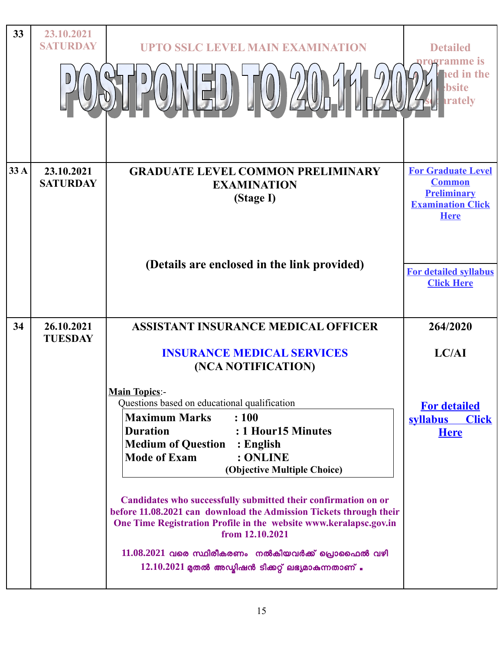| 33   | 23.10.2021<br><b>SATURDAY</b> | <b>UPTO SSLC LEVEL MAIN EXAMINATION</b>                                                                                                                                               | <b>Detailed</b>                                                                                             |
|------|-------------------------------|---------------------------------------------------------------------------------------------------------------------------------------------------------------------------------------|-------------------------------------------------------------------------------------------------------------|
|      |                               |                                                                                                                                                                                       | rogramme is<br>ed in the<br>bsite<br><b>rately</b>                                                          |
| 33 A | 23.10.2021<br><b>SATURDAY</b> | <b>GRADUATE LEVEL COMMON PRELIMINARY</b><br><b>EXAMINATION</b><br>(Stage I)                                                                                                           | <b>For Graduate Level</b><br><b>Common</b><br><b>Preliminary</b><br><b>Examination Click</b><br><b>Here</b> |
|      |                               | (Details are enclosed in the link provided)                                                                                                                                           | <b>For detailed syllabus</b><br><b>Click Here</b>                                                           |
| 34   | 26.10.2021<br><b>TUESDAY</b>  | <b>ASSISTANT INSURANCE MEDICAL OFFICER</b>                                                                                                                                            | 264/2020                                                                                                    |
|      |                               | <b>INSURANCE MEDICAL SERVICES</b><br>(NCA NOTIFICATION)                                                                                                                               | LC/AI                                                                                                       |
|      |                               | <b>Main Topics:-</b><br>Questions based on educational qualification<br>: 100<br><b>Maximum Marks</b><br><b>Duration</b><br>: 1 Hour15 Minutes<br><b>Medium of Question : English</b> | <b>For detailed</b><br><b>syllabus</b><br><b>Click</b><br><b>Here</b>                                       |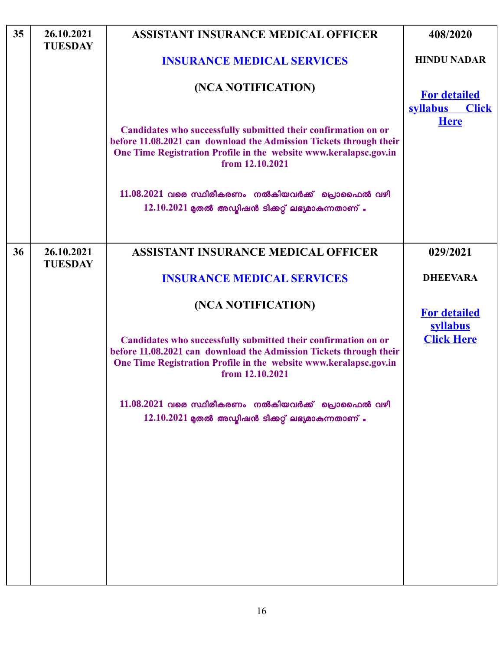| 35 | 26.10.2021<br><b>TUESDAY</b> | <b>ASSISTANT INSURANCE MEDICAL OFFICER</b>                                                                                                                                                                                   | 408/2020                                               |
|----|------------------------------|------------------------------------------------------------------------------------------------------------------------------------------------------------------------------------------------------------------------------|--------------------------------------------------------|
|    |                              | <b>INSURANCE MEDICAL SERVICES</b>                                                                                                                                                                                            | <b>HINDU NADAR</b>                                     |
|    |                              | (NCA NOTIFICATION)                                                                                                                                                                                                           | <b>For detailed</b><br><b>syllabus</b><br><b>Click</b> |
|    |                              | Candidates who successfully submitted their confirmation on or<br>before 11.08.2021 can download the Admission Tickets through their<br>One Time Registration Profile in the website www.keralapsc.gov.in<br>from 12.10.2021 | <b>Here</b>                                            |
|    |                              | $11.08.2021$ വരെ സ്ഥിരീകരണം നൽകിയവർക്ക് പ്രൊഫൈൽ വഴി<br>$12.10.2021$ മുതൽ അഡ്മിഷൻ ടിക്കറ്റ് ലഭ്യമാകുന്നതാണ്.                                                                                                                  |                                                        |
| 36 | 26.10.2021<br><b>TUESDAY</b> | <b>ASSISTANT INSURANCE MEDICAL OFFICER</b>                                                                                                                                                                                   | 029/2021                                               |
|    |                              | <b>INSURANCE MEDICAL SERVICES</b>                                                                                                                                                                                            | <b>DHEEVARA</b>                                        |
|    |                              | (NCA NOTIFICATION)                                                                                                                                                                                                           | <b>For detailed</b><br>syllabus                        |
|    |                              | Candidates who successfully submitted their confirmation on or<br>before 11.08.2021 can download the Admission Tickets through their<br>One Time Registration Profile in the website www.keralapsc.gov.in<br>from 12.10.2021 | <b>Click Here</b>                                      |
|    |                              | $11.08.2021$ വരെ സ്ഥിരീകരണം നൽകിയവർക്ക് പ്രൊഫൈൽ വഴി<br>$12.10.2021$ മുതൽ അഡ്മിഷൻ ടിക്കറ്റ് ലഭ്യമാകുന്നതാണ്.                                                                                                                  |                                                        |
|    |                              |                                                                                                                                                                                                                              |                                                        |
|    |                              |                                                                                                                                                                                                                              |                                                        |
|    |                              |                                                                                                                                                                                                                              |                                                        |

 $\overline{\phantom{a}}$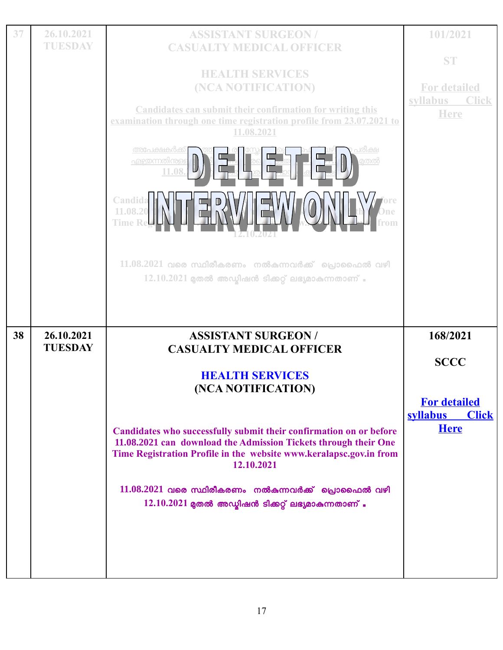| 37 | 26.10.2021     | <b>ASSISTANT SURGEON/</b>                                                                                                                                                                                                               | 101/2021                                       |
|----|----------------|-----------------------------------------------------------------------------------------------------------------------------------------------------------------------------------------------------------------------------------------|------------------------------------------------|
|    | TUESDAY        | <b>CASUALTY MEDICAL OFFICER</b>                                                                                                                                                                                                         |                                                |
|    |                |                                                                                                                                                                                                                                         | <b>ST</b>                                      |
|    |                | <b>HEALTH SERVICES</b>                                                                                                                                                                                                                  |                                                |
|    |                | (NCA NOTIFICATION)                                                                                                                                                                                                                      | <b>For detailed</b>                            |
|    |                |                                                                                                                                                                                                                                         | <b>Click</b><br>syllabus                       |
|    |                | <b>Candidates can submit their confirmation for writing this</b><br>examination through one time registration profile from 23.07.2021 to                                                                                                | <b>Here</b>                                    |
|    |                | 11.08.2021                                                                                                                                                                                                                              |                                                |
|    |                | <u>അപേക്ഷകർക്ക്</u><br>പരീക്ഷ<br><u>എഴുതന്നതിന്തള്</u><br><u>ൂതൽ</u><br>11.08<br>Candida<br>11.08.20<br><b>Time Re</b><br>$11.08.2021$ വരെ സ്ഥിരീകരണം നൽകന്നവർക്ക് പ്രൊഫൈൽ വഴി<br>$12.10.2021$ മുതൽ അഡ്മിഷൻ ടിക്കറ്റ് ലഭ്യമാകുന്നതാണ് . |                                                |
|    |                |                                                                                                                                                                                                                                         |                                                |
|    |                |                                                                                                                                                                                                                                         |                                                |
|    |                |                                                                                                                                                                                                                                         |                                                |
| 38 | 26.10.2021     | <b>ASSISTANT SURGEON/</b>                                                                                                                                                                                                               | 168/2021                                       |
|    | <b>TUESDAY</b> | <b>CASUALTY MEDICAL OFFICER</b>                                                                                                                                                                                                         |                                                |
|    |                | <b>HEALTH SERVICES</b><br>(NCA NOTIFICATION)                                                                                                                                                                                            | <b>SCCC</b>                                    |
|    |                |                                                                                                                                                                                                                                         | <b>For detailed</b>                            |
|    |                | Candidates who successfully submit their confirmation on or before<br>11.08.2021 can download the Admission Tickets through their One<br>Time Registration Profile in the website www.keralapsc.gov.in from<br>12.10.2021               | <b>syllabus</b><br><b>Click</b><br><b>Here</b> |
|    |                | $11.08.2021$ വരെ സ്ഥിരീകരണം നൽകുന്നവർക്ക് പ്രൊഫൈൽ വഴി                                                                                                                                                                                   |                                                |
|    |                | $12.10.2021$ മുതൽ അഡ്മിഷൻ ടിക്കറ്റ് ലഭ്യമാകുന്നതാണ്.                                                                                                                                                                                    |                                                |
|    |                |                                                                                                                                                                                                                                         |                                                |
|    |                |                                                                                                                                                                                                                                         |                                                |
|    |                |                                                                                                                                                                                                                                         |                                                |
|    |                |                                                                                                                                                                                                                                         |                                                |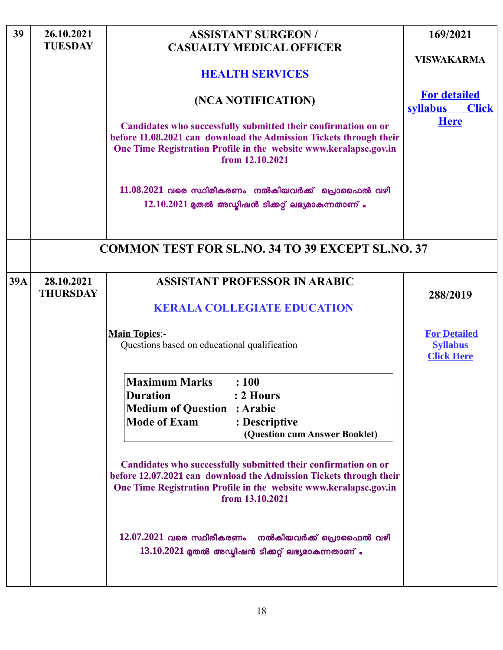| 39         | 26.10.2021<br><b>TUESDAY</b>  | <b>ASSISTANT SURGEON/</b><br><b>CASUALTY MEDICAL OFFICER</b><br><b>HEALTH SERVICES</b><br>(NCA NOTIFICATION)<br>Candidates who successfully submitted their confirmation on or<br>before 11.08.2021 can download the Admission Tickets through their<br>One Time Registration Profile in the website www.keralapsc.gov.in<br>from 12.10.2021<br>$11.08.2021$ വരെ സ്ഥിരീകരണം നൽകിയവർക്ക് പ്രൊഫൈൽ വഴി<br>$12.10.2021$ മുതൽ അഡ്യിഷൻ ടിക്കറ്റ് ലഭ്യമാകുന്നതാണ് .        | 169/2021<br><b>VISWAKARMA</b><br><b>For detailed</b><br><b>Click</b><br><b>syllabus</b><br><b>Here</b> |
|------------|-------------------------------|---------------------------------------------------------------------------------------------------------------------------------------------------------------------------------------------------------------------------------------------------------------------------------------------------------------------------------------------------------------------------------------------------------------------------------------------------------------------|--------------------------------------------------------------------------------------------------------|
|            |                               | <b>COMMON TEST FOR SL.NO. 34 TO 39 EXCEPT SL.NO. 37</b>                                                                                                                                                                                                                                                                                                                                                                                                             |                                                                                                        |
| <b>39A</b> | 28.10.2021<br><b>THURSDAY</b> | <b>ASSISTANT PROFESSOR IN ARABIC</b><br><b>KERALA COLLEGIATE EDUCATION</b>                                                                                                                                                                                                                                                                                                                                                                                          | 288/2019<br><b>For Detailed</b>                                                                        |
|            |                               | <b>Main Topics:-</b><br>Questions based on educational qualification                                                                                                                                                                                                                                                                                                                                                                                                | <b>Syllabus</b><br><b>Click Here</b>                                                                   |
|            |                               | <b>Maximum Marks</b><br>: 100<br><b>Duration</b><br>: 2 Hours<br><b>Medium of Question : Arabic</b><br><b>Mode of Exam</b><br>: Descriptive<br>(Question cum Answer Booklet)<br>Candidates who successfully submitted their confirmation on or<br>before 12.07.2021 can download the Admission Tickets through their<br>One Time Registration Profile in the website www.keralapsc.gov.in<br>from 13.10.2021<br>$12.07.2021$ വരെ സ്ഥിരീകരണം നൽകിയവർക്ക് പ്രൊഫൈൽ വഴി |                                                                                                        |
|            |                               | $13.10.2021$ മുതൽ അഡ്മിഷൻ ടിക്കറ്റ് ലഭ്യമാകുന്നതാണ് .                                                                                                                                                                                                                                                                                                                                                                                                               |                                                                                                        |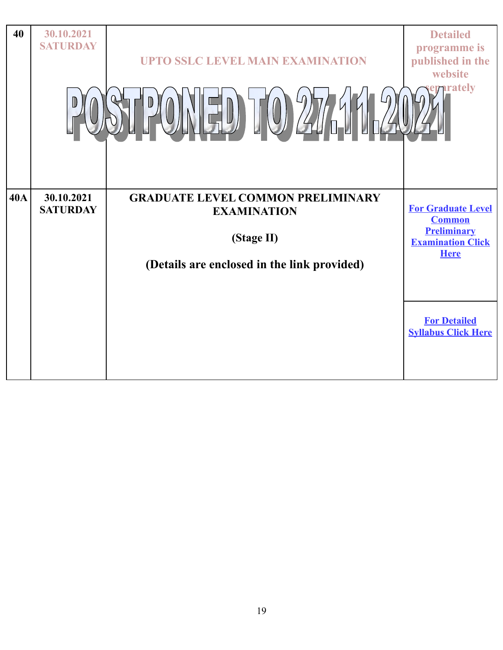| 40         | 30.10.2021<br><b>SATURDAY</b> | <b>UPTO SSLC LEVEL MAIN EXAMINATION</b>                                                                                     | <b>Detailed</b><br>programme is<br>published in the<br>website<br><b>The Trately</b>                                                                             |
|------------|-------------------------------|-----------------------------------------------------------------------------------------------------------------------------|------------------------------------------------------------------------------------------------------------------------------------------------------------------|
| <b>40A</b> | 30.10.2021<br><b>SATURDAY</b> | <b>GRADUATE LEVEL COMMON PRELIMINARY</b><br><b>EXAMINATION</b><br>(Stage II)<br>(Details are enclosed in the link provided) | <b>For Graduate Level</b><br><b>Common</b><br><b>Preliminary</b><br><b>Examination Click</b><br><b>Here</b><br><b>For Detailed</b><br><b>Syllabus Click Here</b> |